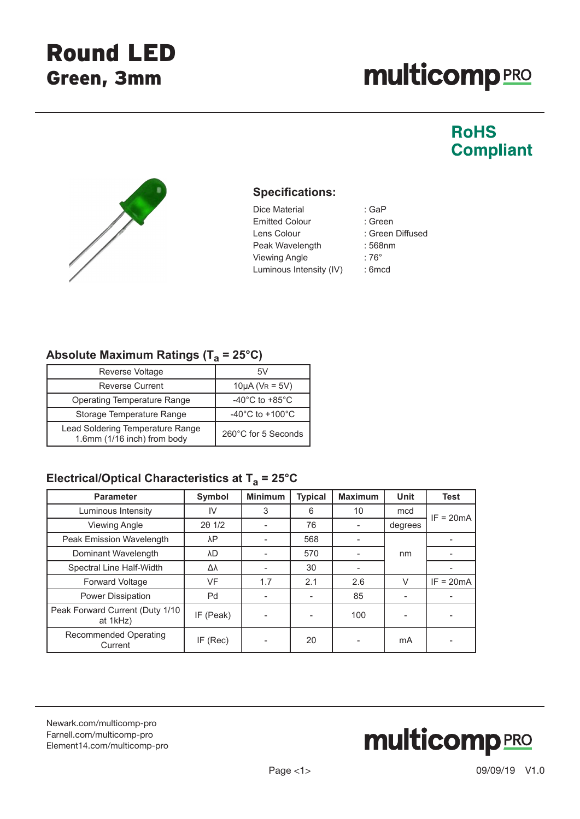# **multicomp**PRO

## **RoHS Compliant**



#### **Specifications:**

- Dice Material : GaP Emitted Colour : Green Lens Colour : Green Diffused Peak Wavelength : 568nm Viewing Angle  $\qquad \qquad$  : 76° Luminous Intensity (IV) : 6mcd
	-

#### Absolute Maximum Ratings (T<sub>a</sub> = 25°C)

| Reverse Voltage                                                 |                                      |  |
|-----------------------------------------------------------------|--------------------------------------|--|
| <b>Reverse Current</b>                                          | $10\mu A (V_R = 5V)$                 |  |
| <b>Operating Temperature Range</b>                              | -40 $^{\circ}$ C to +85 $^{\circ}$ C |  |
| Storage Temperature Range                                       | $-40^{\circ}$ C to $+100^{\circ}$ C  |  |
| Lead Soldering Temperature Range<br>1.6mm (1/16 inch) from body | 260°C for 5 Seconds                  |  |

### Electrical/Optical Characteristics at T<sub>a</sub> = 25°C

| <b>Parameter</b>                            | Symbol     | <b>Minimum</b> | <b>Typical</b> | <b>Maximum</b> | <b>Unit</b> | <b>Test</b> |
|---------------------------------------------|------------|----------------|----------------|----------------|-------------|-------------|
| Luminous Intensity                          | IV         | 3              | 6              | 10             | mcd         | $IF = 20mA$ |
| <b>Viewing Angle</b>                        | 201/2      |                | 76             |                | degrees     |             |
| Peak Emission Wavelength                    | λP         |                | 568            |                |             |             |
| Dominant Wavelength                         | λD         |                | 570            |                | nm          |             |
| Spectral Line Half-Width                    | Δλ         |                | 30             |                |             |             |
| Forward Voltage                             | <b>VF</b>  | 1.7            | 2.1            | 2.6            | V           | $IF = 20mA$ |
| Power Dissipation                           | Pd         |                |                | 85             |             |             |
| Peak Forward Current (Duty 1/10<br>at 1kHz) | IF (Peak)  |                |                | 100            |             |             |
| Recommended Operating<br>Current            | $IF$ (Rec) |                | 20             |                | mA          |             |

[Newark.com/multicomp-](https://www.newark.com/multicomp-pro)pro [Farnell.com/multicomp](https://www.farnell.com/multicomp-pro)-pro [Element14.com/multicomp-pro](https://element14.com/multicomp-pro)

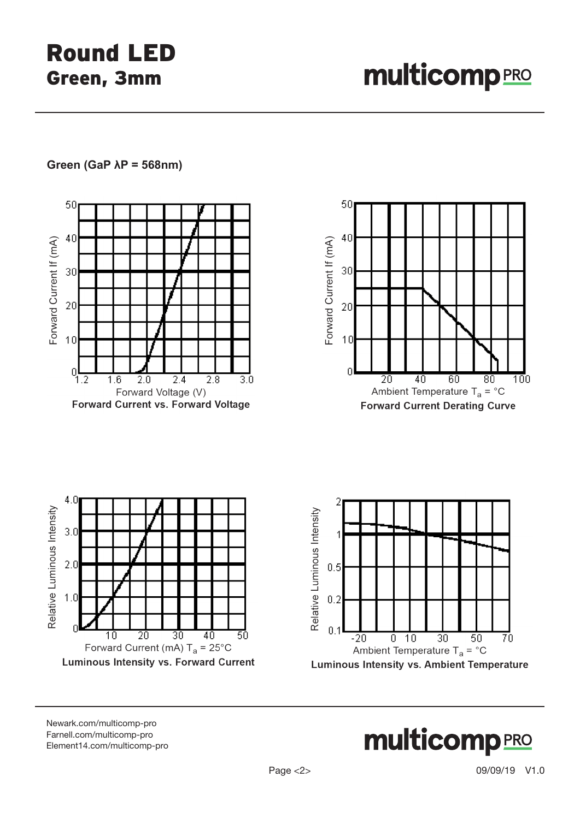#### **Green (GaP λP = 568nm)**



[Newark.com/multicomp-](https://www.newark.com/multicomp-pro)pro [Farnell.com/multicomp](https://www.farnell.com/multicomp-pro)-pro [Element14.com/multicomp-pro](https://element14.com/multicomp-pro)